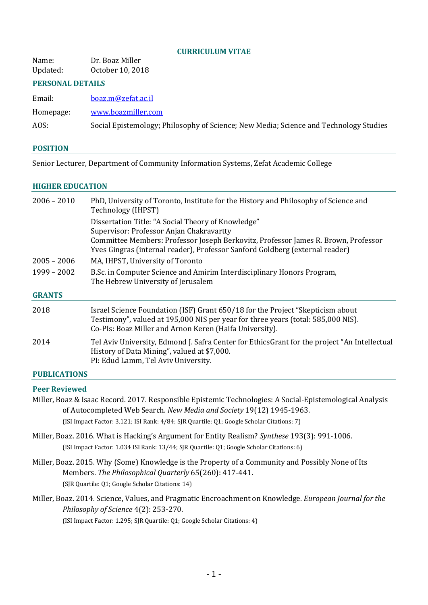#### **CURRICULUM VITAE**

| Name:    | Dr. Boaz Miller  |
|----------|------------------|
| Updated: | October 10, 2018 |

#### **PERSONAL DETAILS**

| boaz.m@zefat.ac.il |
|--------------------|
|                    |

Homepage: [www.boazmiller.com](http://www.boazmiller.com/)

AOS: Social Epistemology; Philosophy of Science; New Media; Science and Technology Studies

#### **POSITION**

Senior Lecturer, Department of Community Information Systems, Zefat Academic College

#### **HIGHER EDUCATION**

| $2006 - 2010$ | PhD, University of Toronto, Institute for the History and Philosophy of Science and<br>Technology (IHPST)                                                                                                                                                            |
|---------------|----------------------------------------------------------------------------------------------------------------------------------------------------------------------------------------------------------------------------------------------------------------------|
|               | Dissertation Title: "A Social Theory of Knowledge"<br>Supervisor: Professor Anjan Chakravartty<br>Committee Members: Professor Joseph Berkovitz, Professor James R. Brown, Professor<br>Yves Gingras (internal reader), Professor Sanford Goldberg (external reader) |
| $2005 - 2006$ | MA, IHPST, University of Toronto                                                                                                                                                                                                                                     |
| $1999 - 2002$ | B.Sc. in Computer Science and Amirim Interdisciplinary Honors Program,<br>The Hebrew University of Jerusalem                                                                                                                                                         |
| <b>GRANTS</b> |                                                                                                                                                                                                                                                                      |
| 2018          | Israel Science Foundation (ISF) Grant 650/18 for the Project "Skepticism about<br>Testimony", valued at 195,000 NIS per year for three years (total: 585,000 NIS).<br>Co-PIs: Boaz Miller and Arnon Keren (Haifa University).                                        |
| 2014          | Tel Aviv University, Edmond J. Safra Center for EthicsGrant for the project "An Intellectual<br>History of Data Mining", valued at \$7,000.<br>PI: Edud Lamm, Tel Aviv University.                                                                                   |
|               |                                                                                                                                                                                                                                                                      |

# **PUBLICATIONS**

#### **Peer Reviewed**

Miller, Boaz & Isaac Record. 2017. Responsible Epistemic Technologies: A Social-Epistemological Analysis of Autocompleted Web Search. *New Media and Society* 19(12) 1945-1963.

(ISI Impact Factor: 3.121; ISI Rank: 4/84; SJR Quartile: Q1; Google Scholar Citations: 7)

- Miller, Boaz. 2016. What is Hacking's Argument for Entity Realism? *Synthese* 193(3): 991-1006. (ISI Impact Factor: 1.034 ISI Rank: 13/44; SJR Quartile: Q1; Google Scholar Citations: 6)
- Miller, Boaz. 2015. Why (Some) Knowledge is the Property of a Community and Possibly None of Its Members. *The Philosophical Quarterly* 65(260): 417-441. (SJR Quartile: Q1; Google Scholar Citations: 14)
- Miller, Boaz. 2014. Science, Values, and Pragmatic Encroachment on Knowledge. *European Journal for the Philosophy of Science* 4(2): 253-270.

(ISI Impact Factor: 1.295; SJR Quartile: Q1; Google Scholar Citations: 4)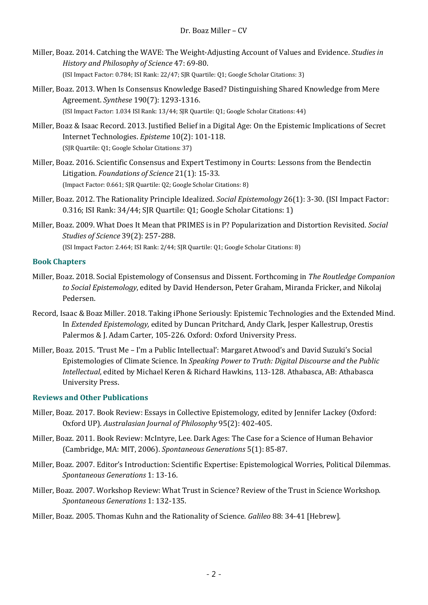- Miller, Boaz. 2014. Catching the WAVE: The Weight-Adjusting Account of Values and Evidence. *Studies in History and Philosophy of Science* 47: 69-80. (ISI Impact Factor: 0.784; ISI Rank: 22/47; SJR Quartile: Q1; Google Scholar Citations: 3)
- Miller, Boaz. 2013. When Is Consensus Knowledge Based? Distinguishing Shared Knowledge from Mere Agreement. *Synthese* 190(7): 1293-1316. (ISI Impact Factor: 1.034 ISI Rank: 13/44; SJR Quartile: Q1; Google Scholar Citations: 44)
- Miller, Boaz & Isaac Record. 2013. Justified Belief in a Digital Age: On the Epistemic Implications of Secret Internet Technologies. *Episteme* 10(2): 101-118. (SJR Quartile: Q1; Google Scholar Citations: 37)
- Miller, Boaz. 2016. Scientific Consensus and Expert Testimony in Courts: Lessons from the Bendectin Litigation. *Foundations of Science* 21(1): 15-33. (Impact Factor: 0.661; SJR Quartile: Q2; Google Scholar Citations: 8)
- Miller, Boaz. 2012. The Rationality Principle Idealized. *Social Epistemology* 26(1): 3-30. (ISI Impact Factor: 0.316; ISI Rank: 34/44; SJR Quartile: Q1; Google Scholar Citations: 1)
- Miller, Boaz. 2009. What Does It Mean that PRIMES is in P? Popularization and Distortion Revisited. *Social Studies of Science* 39(2): 257-288.

(ISI Impact Factor: 2.464; ISI Rank: 2/44; SJR Quartile: Q1; Google Scholar Citations: 8)

# **Book Chapters**

- Miller, Boaz. 2018. Social Epistemology of Consensus and Dissent. Forthcoming in *The Routledge Companion to Social Epistemology*, edited by David Henderson, Peter Graham, Miranda Fricker, and Nikolaj Pedersen.
- Record, Isaac & Boaz Miller. 2018. Taking iPhone Seriously: Epistemic Technologies and the Extended Mind. In *Extended Epistemology,* edited by Duncan Pritchard, Andy Clark, Jesper Kallestrup, Orestis Palermos & J. Adam Carter, 105-226. Oxford: Oxford University Press.
- Miller, Boaz. 2015. 'Trust Me I'm a Public Intellectual': Margaret Atwood's and David Suzuki's Social Epistemologies of Climate Science. In *Speaking Power to Truth: Digital Discourse and the Public Intellectual*, edited by Michael Keren & Richard Hawkins, 113-128. Athabasca, AB: Athabasca University Press.

# **Reviews and Other Publications**

- Miller, Boaz. 2017. Book Review: Essays in Collective Epistemology, edited by Jennifer Lackey (Oxford: Oxford UP). *Australasian Journal of Philosophy* 95(2): 402-405.
- Miller, Boaz. 2011. Book Review: McIntyre, Lee. Dark Ages: The Case for a Science of Human Behavior (Cambridge, MA: MIT, 2006). *Spontaneous Generations* 5(1): 85-87.
- Miller, Boaz. 2007. Editor's Introduction: Scientific Expertise: Epistemological Worries, Political Dilemmas. *Spontaneous Generations* 1: 13-16.
- Miller, Boaz. 2007. Workshop Review: What Trust in Science? Review of the Trust in Science Workshop. *Spontaneous Generations* 1: 132-135.
- Miller, Boaz. 2005. Thomas Kuhn and the Rationality of Science. *Galileo* 88: 34-41 [Hebrew].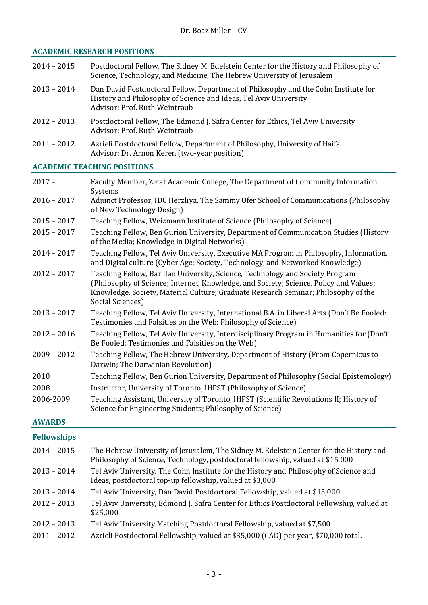## **ACADEMIC RESEARCH POSITIONS**

|               | <u>ichdemic Resemicht i ost Hons</u>                                                                                                                                                                                                                                             |
|---------------|----------------------------------------------------------------------------------------------------------------------------------------------------------------------------------------------------------------------------------------------------------------------------------|
| $2014 - 2015$ | Postdoctoral Fellow, The Sidney M. Edelstein Center for the History and Philosophy of<br>Science, Technology, and Medicine, The Hebrew University of Jerusalem                                                                                                                   |
| $2013 - 2014$ | Dan David Postdoctoral Fellow, Department of Philosophy and the Cohn Institute for<br>History and Philosophy of Science and Ideas, Tel Aviv University<br>Advisor: Prof. Ruth Weintraub                                                                                          |
| $2012 - 2013$ | Postdoctoral Fellow, The Edmond J. Safra Center for Ethics, Tel Aviv University<br>Advisor: Prof. Ruth Weintraub                                                                                                                                                                 |
| $2011 - 2012$ | Azrieli Postdoctoral Fellow, Department of Philosophy, University of Haifa<br>Advisor: Dr. Arnon Keren (two-year position)                                                                                                                                                       |
|               | <b>ACADEMIC TEACHING POSITIONS</b>                                                                                                                                                                                                                                               |
| $2017 -$      | Faculty Member, Zefat Academic College, The Department of Community Information<br>Systems                                                                                                                                                                                       |
| $2016 - 2017$ | Adjunct Professor, IDC Herzliya, The Sammy Ofer School of Communications (Philosophy<br>of New Technology Design)                                                                                                                                                                |
| $2015 - 2017$ | Teaching Fellow, Weizmann Institute of Science (Philosophy of Science)                                                                                                                                                                                                           |
| $2015 - 2017$ | Teaching Fellow, Ben Gurion University, Department of Communication Studies (History<br>of the Media; Knowledge in Digital Networks)                                                                                                                                             |
| $2014 - 2017$ | Teaching Fellow, Tel Aviv University, Executive MA Program in Philosophy, Information,<br>and Digital culture (Cyber Age: Society, Technology, and Networked Knowledge)                                                                                                          |
| $2012 - 2017$ | Teaching Fellow, Bar Ilan University, Science, Technology and Society Program<br>(Philosophy of Science; Internet, Knowledge, and Society; Science, Policy and Values;<br>Knowledge. Society, Material Culture; Graduate Research Seminar; Philosophy of the<br>Social Sciences) |
| $2013 - 2017$ | Teaching Fellow, Tel Aviv University, International B.A. in Liberal Arts (Don't Be Fooled:<br>Testimonies and Falsities on the Web; Philosophy of Science)                                                                                                                       |
| $2012 - 2016$ | Teaching Fellow, Tel Aviv University, Interdisciplinary Program in Humanities for (Don't<br>Be Fooled: Testimonies and Falsities on the Web)                                                                                                                                     |
| $2009 - 2012$ | Teaching Fellow, The Hebrew University, Department of History (From Copernicus to                                                                                                                                                                                                |
|               |                                                                                                                                                                                                                                                                                  |

- Darwin; The Darwinian Revolution) 2010 Teaching Fellow, Ben Gurion University, Department of Philosophy (Social Epistemology) 2008 Instructor, University of Toronto, IHPST (Philosophy of Science)
- 2006-2009 Teaching Assistant, University of Toronto, IHPST (Scientific Revolutions II; History of Science for Engineering Students; Philosophy of Science)

# **AWARDS**

# **Fellowships**

| $2014 - 2015$ | The Hebrew University of Jerusalem, The Sidney M. Edelstein Center for the History and<br>Philosophy of Science, Technology, postdoctoral fellowship, valued at \$15,000 |
|---------------|--------------------------------------------------------------------------------------------------------------------------------------------------------------------------|
| $2013 - 2014$ | Tel Aviv University, The Cohn Institute for the History and Philosophy of Science and<br>Ideas, postdoctoral top-up fellowship, valued at \$3,000                        |
| $2013 - 2014$ | Tel Aviv University, Dan David Postdoctoral Fellowship, valued at \$15,000                                                                                               |
| $2012 - 2013$ | Tel Aviv University, Edmond J. Safra Center for Ethics Postdoctoral Fellowship, valued at<br>\$25,000                                                                    |
| $2012 - 2013$ | Tel Aviv University Matching Postdoctoral Fellowship, valued at \$7,500                                                                                                  |
| $2011 - 2012$ | Azrieli Postdoctoral Fellowship, valued at \$35,000 (CAD) per year, \$70,000 total.                                                                                      |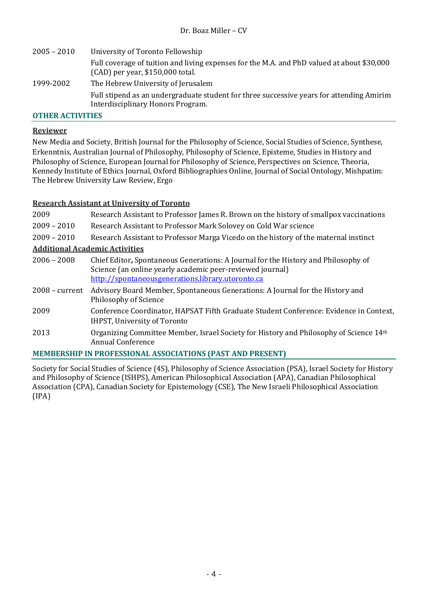2005 – 2010 University of Toronto Fellowship Full coverage of tuition and living expenses for the M.A. and PhD valued at about \$30,000 (CAD) per year, \$150,000 total. 1999-2002 The Hebrew University of Jerusalem Full stipend as an undergraduate student for three successive years for attending Amirim Interdisciplinary Honors Program.

## **OTHER ACTIVITIES**

### **Reviewer**

New Media and Society, British Journal for the Philosophy of Science, Social Studies of Science, Synthese, Erkenntnis, Australian Journal of Philosophy, Philosophy of Science, Episteme, Studies in History and Philosophy of Science, European Journal for Philosophy of Science, Perspectives on Science, Theoria, Kennedy Institute of Ethics Journal, Oxford Bibliographies Online, Journal of Social Ontology, Mishpatim: The Hebrew University Law Review, Ergo

### **Research Assistant at University of Toronto**

| 2009                                                                                                          | Research Assistant to Professor James R. Brown on the history of smallpox vaccinations                                                                                                               |  |
|---------------------------------------------------------------------------------------------------------------|------------------------------------------------------------------------------------------------------------------------------------------------------------------------------------------------------|--|
| $2009 - 2010$                                                                                                 | Research Assistant to Professor Mark Solovey on Cold War science                                                                                                                                     |  |
| $2009 - 2010$                                                                                                 | Research Assistant to Professor Marga Vicedo on the history of the maternal instinct                                                                                                                 |  |
| <b>Additional Academic Activities</b>                                                                         |                                                                                                                                                                                                      |  |
| $2006 - 2008$                                                                                                 | Chief Editor, Spontaneous Generations: A Journal for the History and Philosophy of<br>Science (an online yearly academic peer-reviewed journal)<br>http://spontaneousgenerations.library.utoronto.ca |  |
| $2008$ – current                                                                                              | Advisory Board Member, Spontaneous Generations: A Journal for the History and<br>Philosophy of Science                                                                                               |  |
| 2009                                                                                                          | Conference Coordinator, HAPSAT Fifth Graduate Student Conference: Evidence in Context,<br><b>IHPST, University of Toronto</b>                                                                        |  |
| 2013                                                                                                          | Organizing Committee Member, Israel Society for History and Philosophy of Science 14th<br><b>Annual Conference</b>                                                                                   |  |
| <b>MEMBERSHIP IN PROFESSIONAL ASSOCIATIONS (PAST AND PRESENT)</b>                                             |                                                                                                                                                                                                      |  |
| Society for Social Studies of Science (AS) Philosophy of Science Association (PSA) Jernal Society for History |                                                                                                                                                                                                      |  |

Society for Social Studies of Science (4S), Philosophy of Science Association (PSA), Israel Society for History and Philosophy of Science (ISHPS), American Philosophical Association (APA), Canadian Philosophical Association (CPA), Canadian Society for Epistemology (CSE), The New Israeli Philosophical Association (IPA)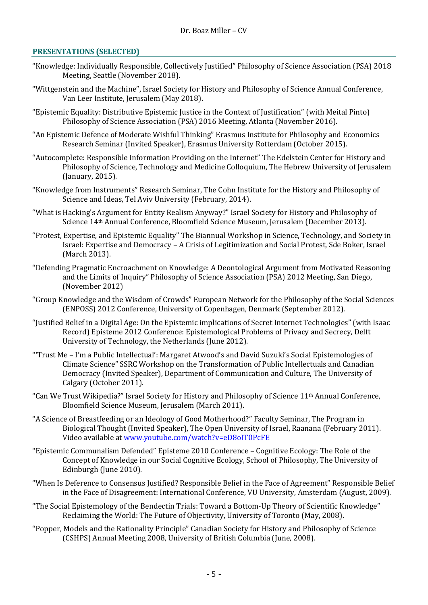## **PRESENTATIONS (SELECTED)**

- "Knowledge: Individually Responsible, Collectively Justified" Philosophy of Science Association (PSA) 2018 Meeting, Seattle (November 2018).
- "Wittgenstein and the Machine", Israel Society for History and Philosophy of Science Annual Conference, [Van](http://www.mada.org.il/en/) Leer Institute, Jerusalem (May 2018).
- "Epistemic Equality: Distributive Epistemic Justice in the Context of Justification" (with Meital Pinto) Philosophy of Science Association (PSA) 2016 Meeting, Atlanta (November 2016).
- "An Epistemic Defence of Moderate Wishful Thinking" Erasmus Institute for Philosophy and Economics Research Seminar (Invited Speaker), Erasmus University Rotterdam (October 2015).
- "Autocomplete: Responsible Information Providing on the Internet" The Edelstein Center for History and Philosophy of Science, Technology and Medicine Colloquium, The Hebrew University of Jerusalem (January, 2015).
- "Knowledge from Instruments" Research Seminar, The Cohn Institute for the History and Philosophy of Science and Ideas, Tel Aviv University (February, 2014).
- "What is Hacking's Argument for Entity Realism Anyway?" Israel Society for History and Philosophy of Science 14th Annual Conference, Bloomfield Science Museum, Jerusalem (December 2013).
- "Protest, Expertise, and Epistemic Equality" The Biannual Workshop in Science, Technology, and Society in Israel: Expertise and Democracy – A Crisis of Legitimization and Social Protest, Sde Boker, Israel (March 2013).
- "Defending Pragmatic Encroachment on Knowledge: A Deontological Argument from Motivated Reasoning and the Limits of Inquiry" Philosophy of Science Association (PSA) 2012 Meeting, San Diego, (November 2012)
- "Group Knowledge and the Wisdom of Crowds" European Network for the Philosophy of the Social Sciences (ENPOSS) 2012 Conference, University of Copenhagen, Denmark (September 2012).
- "Justified Belief in a Digital Age: On the Epistemic implications of Secret Internet Technologies" (with Isaac Record) Episteme 2012 Conference: Epistemological Problems of Privacy and Secrecy, Delft University of Technology, the Netherlands (June 2012).
- "'Trust Me I'm a Public Intellectual': Margaret Atwood's and David Suzuki's Social Epistemologies of Climate Science" SSRC Workshop on the Transformation of Public Intellectuals and Canadian Democracy (Invited Speaker), Department of Communication and Culture, The University of Calgary (October 2011).
- "Can We Trust Wikipedia?" Israel Society for History and Philosophy of Science 11th Annual Conference, [Bloomfield Science Museum,](http://www.mada.org.il/en/) Jerusalem (March 2011).
- "A Science of Breastfeeding or an Ideology of Good Motherhood?" Faculty Seminar, [The Program in](http://www-e.openu.ac.il/master/03-biol.html)  [Biological Thought](http://www-e.openu.ac.il/master/03-biol.html) (Invited Speaker), [The Open University of Israel,](http://www-e.openu.ac.il/) Raanana (February 2011). Video available a[t www.youtube.com/watch?v=eD8oIT0PcFE](http://www.youtube.com/watch?v=eD8oIT0PcFE)
- "Epistemic Communalism Defended" Episteme 2010 Conference [Cognitive Ecology: The Role of the](http://www.philosophy.ed.ac.uk/events/EpistemeConf2010.html)  [Concept of Knowledge in our Social Cognitive Ecology,](http://www.philosophy.ed.ac.uk/events/EpistemeConf2010.html) [School of Philosophy,](http://www.philosophy.ed.ac.uk/) [The University of](http://www.ed.ac.uk/)  [Edinburgh](http://www.ed.ac.uk/) (June 2010).
- "When Is Deference to Consensus Justified? Responsible Belief in the Face of Agreement[" Responsible Belief](http://www.knowledgebeliefnormativity.org/index.html)  [in the Face of Disagreement: International Conference,](http://www.knowledgebeliefnormativity.org/index.html) [VU University,](http://www.vu.nl/en/index.asp) Amsterdam (August, 2009).
- "The Social Epistemology of the Bendectin Trials: Toward a Bottom-Up Theory of Scientific Knowledge" [Reclaiming the World: The Future of](http://research.fis.utoronto.ca/objectivity) Objectivity, University of Toronto (May, 2008).
- "Popper, Models and the Rationality Principle" Canadian [Society for History and Philosophy of Science](http://www.yorku.ca/cshps1/)  [\(CSHPS\)](http://www.yorku.ca/cshps1/) Annual Meeting 2008[, University of British Columbia](http://www.ubc.ca/) (June, 2008).